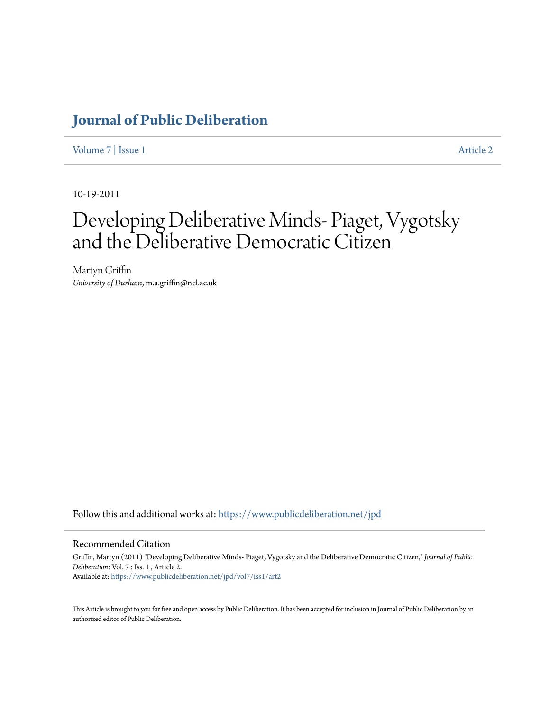## **[Journal of Public Deliberation](https://www.publicdeliberation.net/jpd?utm_source=www.publicdeliberation.net%2Fjpd%2Fvol7%2Fiss1%2Fart2&utm_medium=PDF&utm_campaign=PDFCoverPages)**

[Volume 7](https://www.publicdeliberation.net/jpd/vol7?utm_source=www.publicdeliberation.net%2Fjpd%2Fvol7%2Fiss1%2Fart2&utm_medium=PDF&utm_campaign=PDFCoverPages) | [Issue 1](https://www.publicdeliberation.net/jpd/vol7/iss1?utm_source=www.publicdeliberation.net%2Fjpd%2Fvol7%2Fiss1%2Fart2&utm_medium=PDF&utm_campaign=PDFCoverPages) [Article 2](https://www.publicdeliberation.net/jpd/vol7/iss1/art2?utm_source=www.publicdeliberation.net%2Fjpd%2Fvol7%2Fiss1%2Fart2&utm_medium=PDF&utm_campaign=PDFCoverPages)

10-19-2011

# Developing Deliberative Minds- Piaget, Vygotsky and the Deliberative Democratic Citizen

Martyn Griffin *University of Durham*, m.a.griffin@ncl.ac.uk

Follow this and additional works at: [https://www.publicdeliberation.net/jpd](https://www.publicdeliberation.net/jpd?utm_source=www.publicdeliberation.net%2Fjpd%2Fvol7%2Fiss1%2Fart2&utm_medium=PDF&utm_campaign=PDFCoverPages)

#### Recommended Citation

Griffin, Martyn (2011) "Developing Deliberative Minds- Piaget, Vygotsky and the Deliberative Democratic Citizen," *Journal of Public Deliberation*: Vol. 7 : Iss. 1 , Article 2. Available at: [https://www.publicdeliberation.net/jpd/vol7/iss1/art2](https://www.publicdeliberation.net/jpd/vol7/iss1/art2?utm_source=www.publicdeliberation.net%2Fjpd%2Fvol7%2Fiss1%2Fart2&utm_medium=PDF&utm_campaign=PDFCoverPages)

This Article is brought to you for free and open access by Public Deliberation. It has been accepted for inclusion in Journal of Public Deliberation by an authorized editor of Public Deliberation.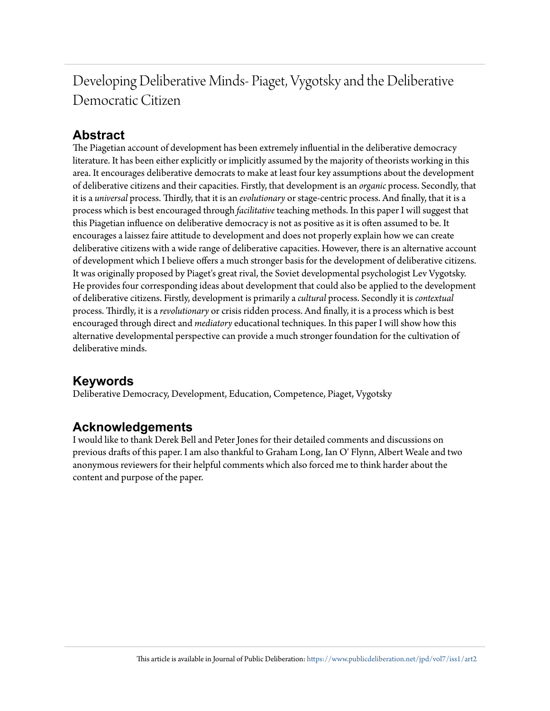## Developing Deliberative Minds- Piaget, Vygotsky and the Deliberative Democratic Citizen

## **Abstract**

The Piagetian account of development has been extremely influential in the deliberative democracy literature. It has been either explicitly or implicitly assumed by the majority of theorists working in this area. It encourages deliberative democrats to make at least four key assumptions about the development of deliberative citizens and their capacities. Firstly, that development is an *organic* process. Secondly, that it is a *universal* process. Thirdly, that it is an *evolutionary* or stage-centric process. And finally, that it is a process which is best encouraged through *facilitative* teaching methods. In this paper I will suggest that this Piagetian influence on deliberative democracy is not as positive as it is often assumed to be. It encourages a laissez faire attitude to development and does not properly explain how we can create deliberative citizens with a wide range of deliberative capacities. However, there is an alternative account of development which I believe offers a much stronger basis for the development of deliberative citizens. It was originally proposed by Piaget's great rival, the Soviet developmental psychologist Lev Vygotsky. He provides four corresponding ideas about development that could also be applied to the development of deliberative citizens. Firstly, development is primarily a *cultural* process. Secondly it is *contextual* process. Thirdly, it is a *revolutionary* or crisis ridden process. And finally, it is a process which is best encouraged through direct and *mediatory* educational techniques. In this paper I will show how this alternative developmental perspective can provide a much stronger foundation for the cultivation of deliberative minds.

## **Keywords**

Deliberative Democracy, Development, Education, Competence, Piaget, Vygotsky

### **Acknowledgements**

I would like to thank Derek Bell and Peter Jones for their detailed comments and discussions on previous drafts of this paper. I am also thankful to Graham Long, Ian O' Flynn, Albert Weale and two anonymous reviewers for their helpful comments which also forced me to think harder about the content and purpose of the paper.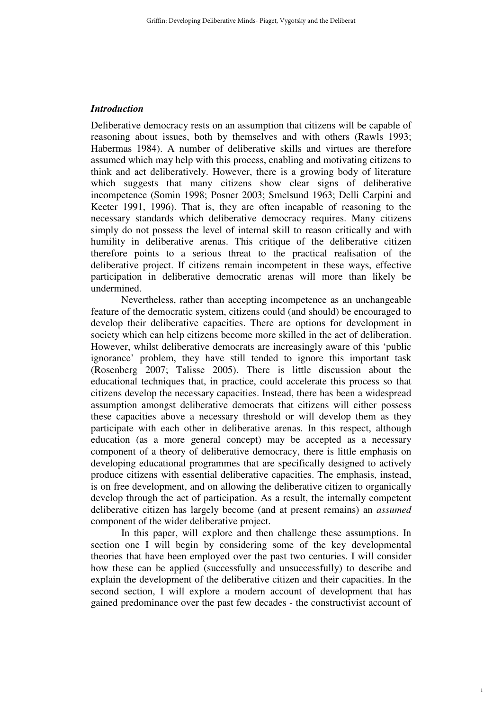#### *Introduction*

Deliberative democracy rests on an assumption that citizens will be capable of reasoning about issues, both by themselves and with others (Rawls 1993; Habermas 1984). A number of deliberative skills and virtues are therefore assumed which may help with this process, enabling and motivating citizens to think and act deliberatively. However, there is a growing body of literature which suggests that many citizens show clear signs of deliberative incompetence (Somin 1998; Posner 2003; Smelsund 1963; Delli Carpini and Keeter 1991, 1996). That is, they are often incapable of reasoning to the necessary standards which deliberative democracy requires. Many citizens simply do not possess the level of internal skill to reason critically and with humility in deliberative arenas. This critique of the deliberative citizen therefore points to a serious threat to the practical realisation of the deliberative project. If citizens remain incompetent in these ways, effective participation in deliberative democratic arenas will more than likely be undermined.

 Nevertheless, rather than accepting incompetence as an unchangeable feature of the democratic system, citizens could (and should) be encouraged to develop their deliberative capacities. There are options for development in society which can help citizens become more skilled in the act of deliberation. However, whilst deliberative democrats are increasingly aware of this 'public ignorance' problem, they have still tended to ignore this important task (Rosenberg 2007; Talisse 2005). There is little discussion about the educational techniques that, in practice, could accelerate this process so that citizens develop the necessary capacities. Instead, there has been a widespread assumption amongst deliberative democrats that citizens will either possess these capacities above a necessary threshold or will develop them as they participate with each other in deliberative arenas. In this respect, although education (as a more general concept) may be accepted as a necessary component of a theory of deliberative democracy, there is little emphasis on developing educational programmes that are specifically designed to actively produce citizens with essential deliberative capacities. The emphasis, instead, is on free development, and on allowing the deliberative citizen to organically develop through the act of participation. As a result, the internally competent deliberative citizen has largely become (and at present remains) an *assumed* component of the wider deliberative project.

 In this paper, will explore and then challenge these assumptions. In section one I will begin by considering some of the key developmental theories that have been employed over the past two centuries. I will consider how these can be applied (successfully and unsuccessfully) to describe and explain the development of the deliberative citizen and their capacities. In the second section, I will explore a modern account of development that has gained predominance over the past few decades - the constructivist account of

1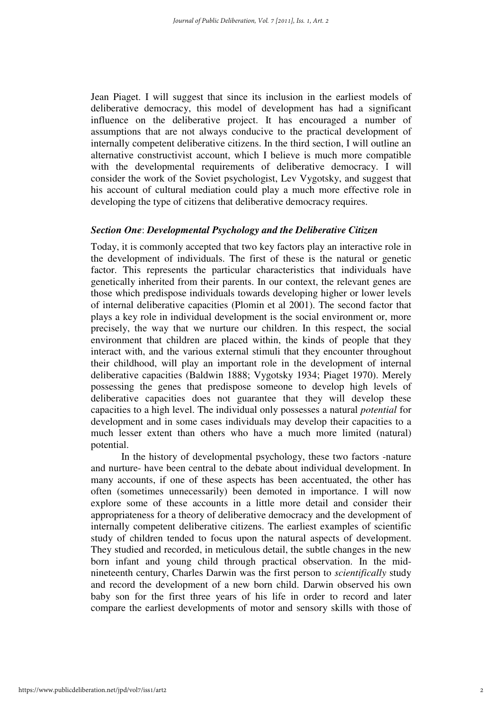Jean Piaget. I will suggest that since its inclusion in the earliest models of deliberative democracy, this model of development has had a significant influence on the deliberative project. It has encouraged a number of assumptions that are not always conducive to the practical development of internally competent deliberative citizens. In the third section, I will outline an alternative constructivist account, which I believe is much more compatible with the developmental requirements of deliberative democracy. I will consider the work of the Soviet psychologist, Lev Vygotsky, and suggest that his account of cultural mediation could play a much more effective role in developing the type of citizens that deliberative democracy requires.

#### *Section One*: *Developmental Psychology and the Deliberative Citizen*

Today, it is commonly accepted that two key factors play an interactive role in the development of individuals. The first of these is the natural or genetic factor. This represents the particular characteristics that individuals have genetically inherited from their parents. In our context, the relevant genes are those which predispose individuals towards developing higher or lower levels of internal deliberative capacities (Plomin et al 2001). The second factor that plays a key role in individual development is the social environment or, more precisely, the way that we nurture our children. In this respect, the social environment that children are placed within, the kinds of people that they interact with, and the various external stimuli that they encounter throughout their childhood, will play an important role in the development of internal deliberative capacities (Baldwin 1888; Vygotsky 1934; Piaget 1970). Merely possessing the genes that predispose someone to develop high levels of deliberative capacities does not guarantee that they will develop these capacities to a high level. The individual only possesses a natural *potential* for development and in some cases individuals may develop their capacities to a much lesser extent than others who have a much more limited (natural) potential.

In the history of developmental psychology, these two factors -nature and nurture- have been central to the debate about individual development. In many accounts, if one of these aspects has been accentuated, the other has often (sometimes unnecessarily) been demoted in importance. I will now explore some of these accounts in a little more detail and consider their appropriateness for a theory of deliberative democracy and the development of internally competent deliberative citizens. The earliest examples of scientific study of children tended to focus upon the natural aspects of development. They studied and recorded, in meticulous detail, the subtle changes in the new born infant and young child through practical observation. In the midnineteenth century, Charles Darwin was the first person to *scientifically* study and record the development of a new born child. Darwin observed his own baby son for the first three years of his life in order to record and later compare the earliest developments of motor and sensory skills with those of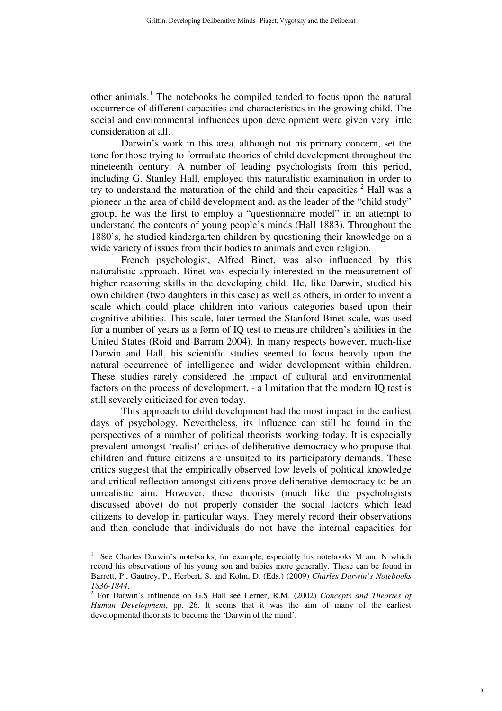other animals.<sup>1</sup> The notebooks he compiled tended to focus upon the natural occurrence of different capacities and characteristics in the growing child. The social and environmental influences upon development were given very little consideration at all.

Darwin's work in this area, although not his primary concern, set the tone for those trying to formulate theories of child development throughout the nineteenth century. A number of leading psychologists from this period, including G. Stanley Hall, employed this naturalistic examination in order to try to understand the maturation of the child and their capacities. $^2$  Hall was a pioneer in the area of child development and, as the leader of the "child study" group, he was the first to employ a "questionnaire model" in an attempt to understand the contents of young people's minds (Hall 1883). Throughout the 1880's, he studied kindergarten children by questioning their knowledge on a wide variety of issues from their bodies to animals and even religion.

French psychologist, Alfred Binet, was also influenced by this naturalistic approach. Binet was especially interested in the measurement of higher reasoning skills in the developing child. He, like Darwin, studied his own children (two daughters in this case) as well as others, in order to invent a scale which could place children into various categories based upon their cognitive abilities. This scale, later termed the Stanford-Binet scale, was used for a number of years as a form of IQ test to measure children's abilities in the United States (Roid and Barram 2004). In many respects however, much-like Darwin and Hall, his scientific studies seemed to focus heavily upon the natural occurrence of intelligence and wider development within children. These studies rarely considered the impact of cultural and environmental factors on the process of development, - a limitation that the modern IQ test is still severely criticized for even today.

This approach to child development had the most impact in the earliest days of psychology. Nevertheless, its influence can still be found in the perspectives of a number of political theorists working today. It is especially prevalent amongst 'realist' critics of deliberative democracy who propose that children and future citizens are unsuited to its participatory demands. These critics suggest that the empirically observed low levels of political knowledge and critical reflection amongst citizens prove deliberative democracy to be an unrealistic aim. However, these theorists (much like the psychologists discussed above) do not properly consider the social factors which lead citizens to develop in particular ways. They merely record their observations and then conclude that individuals do not have the internal capacities for

<sup>&</sup>lt;sup>1</sup> See Charles Darwin's notebooks, for example, especially his notebooks M and N which record his observations of his young son and babies more generally. These can be found in Barrett, P., Gautrey, P., Herbert, S. and Kohn, D. (Eds.) (2009) *Charles Darwin's Notebooks 1836-1844*.

<sup>2</sup> For Darwin's influence on G.S Hall see Lerner, R.M. (2002) *Concepts and Theories of Human Development*, pp. 26. It seems that it was the aim of many of the earliest developmental theorists to become the 'Darwin of the mind'.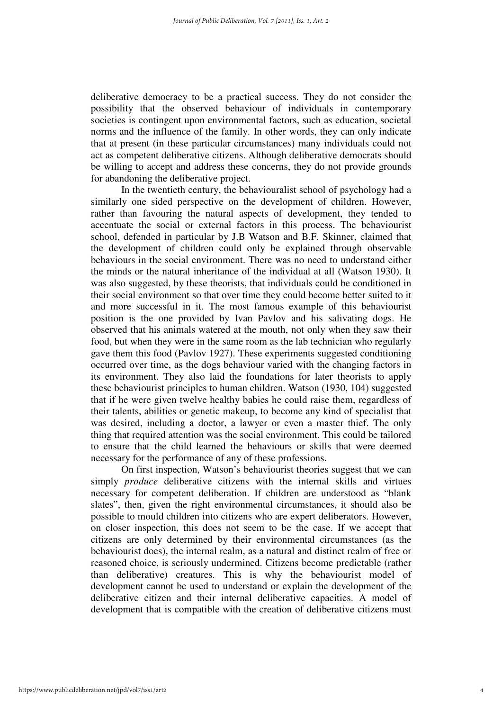deliberative democracy to be a practical success. They do not consider the possibility that the observed behaviour of individuals in contemporary societies is contingent upon environmental factors, such as education, societal norms and the influence of the family. In other words, they can only indicate that at present (in these particular circumstances) many individuals could not act as competent deliberative citizens. Although deliberative democrats should be willing to accept and address these concerns, they do not provide grounds for abandoning the deliberative project.

 In the twentieth century, the behaviouralist school of psychology had a similarly one sided perspective on the development of children. However, rather than favouring the natural aspects of development, they tended to accentuate the social or external factors in this process. The behaviourist school, defended in particular by J.B Watson and B.F. Skinner, claimed that the development of children could only be explained through observable behaviours in the social environment. There was no need to understand either the minds or the natural inheritance of the individual at all (Watson 1930). It was also suggested, by these theorists, that individuals could be conditioned in their social environment so that over time they could become better suited to it and more successful in it. The most famous example of this behaviourist position is the one provided by Ivan Pavlov and his salivating dogs. He observed that his animals watered at the mouth, not only when they saw their food, but when they were in the same room as the lab technician who regularly gave them this food (Pavlov 1927). These experiments suggested conditioning occurred over time, as the dogs behaviour varied with the changing factors in its environment. They also laid the foundations for later theorists to apply these behaviourist principles to human children. Watson (1930, 104) suggested that if he were given twelve healthy babies he could raise them, regardless of their talents, abilities or genetic makeup, to become any kind of specialist that was desired, including a doctor, a lawyer or even a master thief. The only thing that required attention was the social environment. This could be tailored to ensure that the child learned the behaviours or skills that were deemed necessary for the performance of any of these professions.

On first inspection, Watson's behaviourist theories suggest that we can simply *produce* deliberative citizens with the internal skills and virtues necessary for competent deliberation. If children are understood as "blank slates", then, given the right environmental circumstances, it should also be possible to mould children into citizens who are expert deliberators. However, on closer inspection, this does not seem to be the case. If we accept that citizens are only determined by their environmental circumstances (as the behaviourist does), the internal realm, as a natural and distinct realm of free or reasoned choice, is seriously undermined. Citizens become predictable (rather than deliberative) creatures. This is why the behaviourist model of development cannot be used to understand or explain the development of the deliberative citizen and their internal deliberative capacities. A model of development that is compatible with the creation of deliberative citizens must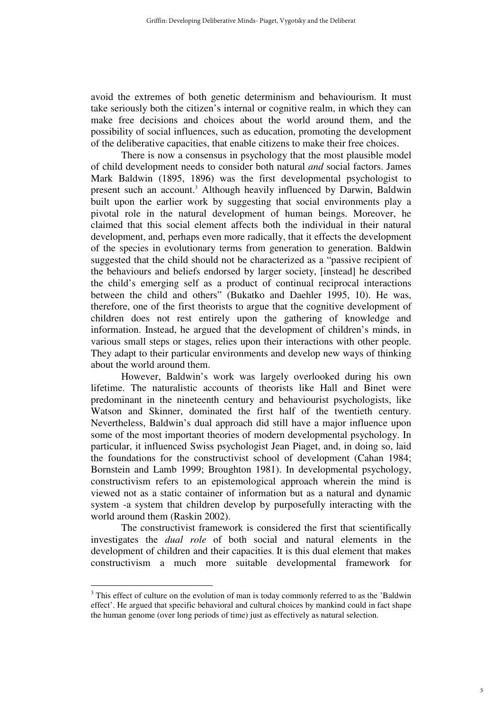avoid the extremes of both genetic determinism and behaviourism. It must take seriously both the citizen's internal or cognitive realm, in which they can make free decisions and choices about the world around them, and the possibility of social influences, such as education, promoting the development of the deliberative capacities, that enable citizens to make their free choices.

 There is now a consensus in psychology that the most plausible model of child development needs to consider both natural *and* social factors. James Mark Baldwin (1895, 1896) was the first developmental psychologist to present such an account.<sup>3</sup> Although heavily influenced by Darwin, Baldwin built upon the earlier work by suggesting that social environments play a pivotal role in the natural development of human beings. Moreover, he claimed that this social element affects both the individual in their natural development, and, perhaps even more radically, that it effects the development of the species in evolutionary terms from generation to generation. Baldwin suggested that the child should not be characterized as a "passive recipient of the behaviours and beliefs endorsed by larger society, [instead] he described the child's emerging self as a product of continual reciprocal interactions between the child and others" (Bukatko and Daehler 1995, 10). He was, therefore, one of the first theorists to argue that the cognitive development of children does not rest entirely upon the gathering of knowledge and information. Instead, he argued that the development of children's minds, in various small steps or stages, relies upon their interactions with other people. They adapt to their particular environments and develop new ways of thinking about the world around them.

However, Baldwin's work was largely overlooked during his own lifetime. The naturalistic accounts of theorists like Hall and Binet were predominant in the nineteenth century and behaviourist psychologists, like Watson and Skinner, dominated the first half of the twentieth century. Nevertheless, Baldwin's dual approach did still have a major influence upon some of the most important theories of modern developmental psychology. In particular, it influenced Swiss psychologist Jean Piaget, and, in doing so, laid the foundations for the constructivist school of development (Cahan 1984; Bornstein and Lamb 1999; Broughton 1981). In developmental psychology, constructivism refers to an epistemological approach wherein the mind is viewed not as a static container of information but as a natural and dynamic system -a system that children develop by purposefully interacting with the world around them (Raskin 2002).

The constructivist framework is considered the first that scientifically investigates the *dual role* of both social and natural elements in the development of children and their capacities. It is this dual element that makes constructivism a much more suitable developmental framework for

 $3$  This effect of culture on the evolution of man is today commonly referred to as the 'Baldwin' effect'. He argued that specific behavioral and cultural choices by mankind could in fact shape the human genome (over long periods of time) just as effectively as natural selection.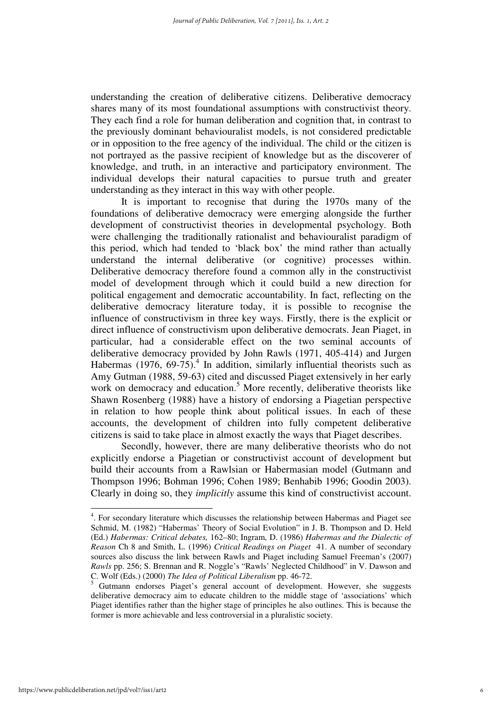understanding the creation of deliberative citizens. Deliberative democracy shares many of its most foundational assumptions with constructivist theory. They each find a role for human deliberation and cognition that, in contrast to the previously dominant behaviouralist models, is not considered predictable or in opposition to the free agency of the individual. The child or the citizen is not portrayed as the passive recipient of knowledge but as the discoverer of knowledge, and truth, in an interactive and participatory environment. The individual develops their natural capacities to pursue truth and greater understanding as they interact in this way with other people.

It is important to recognise that during the 1970s many of the foundations of deliberative democracy were emerging alongside the further development of constructivist theories in developmental psychology. Both were challenging the traditionally rationalist and behaviouralist paradigm of this period, which had tended to 'black box' the mind rather than actually understand the internal deliberative (or cognitive) processes within. Deliberative democracy therefore found a common ally in the constructivist model of development through which it could build a new direction for political engagement and democratic accountability. In fact, reflecting on the deliberative democracy literature today, it is possible to recognise the influence of constructivism in three key ways. Firstly, there is the explicit or direct influence of constructivism upon deliberative democrats. Jean Piaget, in particular, had a considerable effect on the two seminal accounts of deliberative democracy provided by John Rawls (1971, 405-414) and Jurgen Habermas (1976, 69-75).<sup>4</sup> In addition, similarly influential theorists such as Amy Gutman (1988, 59-63) cited and discussed Piaget extensively in her early work on democracy and education.<sup>5</sup> More recently, deliberative theorists like Shawn Rosenberg (1988) have a history of endorsing a Piagetian perspective in relation to how people think about political issues. In each of these accounts, the development of children into fully competent deliberative citizens is said to take place in almost exactly the ways that Piaget describes.

Secondly, however, there are many deliberative theorists who do not explicitly endorse a Piagetian or constructivist account of development but build their accounts from a Rawlsian or Habermasian model (Gutmann and Thompson 1996; Bohman 1996; Cohen 1989; Benhabib 1996; Goodin 2003). Clearly in doing so, they *implicitly* assume this kind of constructivist account.

 4 . For secondary literature which discusses the relationship between Habermas and Piaget see Schmid, M. (1982) "Habermas' Theory of Social Evolution" in J. B. Thompson and D. Held (Ed.) *Habermas: Critical debates,* 162–80; Ingram, D. (1986) *Habermas and the Dialectic of Reason* Ch 8 and Smith, L. (1996) *Critical Readings on Piaget* 41. A number of secondary sources also discuss the link between Rawls and Piaget including Samuel Freeman's (2007) *Rawls* pp. 256; S. Brennan and R. Noggle's "Rawls' Neglected Childhood" in V. Dawson and C. Wolf (Eds.) (2000) *The Idea of Political Liberalism* pp. 46-72. 5

Gutmann endorses Piaget's general account of development. However, she suggests deliberative democracy aim to educate children to the middle stage of 'associations' which Piaget identifies rather than the higher stage of principles he also outlines. This is because the former is more achievable and less controversial in a pluralistic society.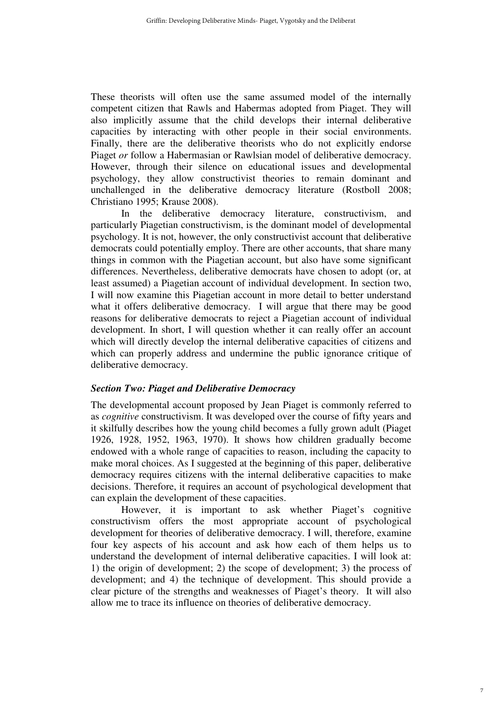These theorists will often use the same assumed model of the internally competent citizen that Rawls and Habermas adopted from Piaget. They will also implicitly assume that the child develops their internal deliberative capacities by interacting with other people in their social environments. Finally, there are the deliberative theorists who do not explicitly endorse Piaget *or* follow a Habermasian or Rawlsian model of deliberative democracy. However, through their silence on educational issues and developmental psychology, they allow constructivist theories to remain dominant and unchallenged in the deliberative democracy literature (Rostboll 2008; Christiano 1995; Krause 2008).

In the deliberative democracy literature, constructivism, and particularly Piagetian constructivism, is the dominant model of developmental psychology. It is not, however, the only constructivist account that deliberative democrats could potentially employ. There are other accounts, that share many things in common with the Piagetian account, but also have some significant differences. Nevertheless, deliberative democrats have chosen to adopt (or, at least assumed) a Piagetian account of individual development. In section two, I will now examine this Piagetian account in more detail to better understand what it offers deliberative democracy. I will argue that there may be good reasons for deliberative democrats to reject a Piagetian account of individual development. In short, I will question whether it can really offer an account which will directly develop the internal deliberative capacities of citizens and which can properly address and undermine the public ignorance critique of deliberative democracy.

#### *Section Two: Piaget and Deliberative Democracy*

The developmental account proposed by Jean Piaget is commonly referred to as *cognitive* constructivism. It was developed over the course of fifty years and it skilfully describes how the young child becomes a fully grown adult (Piaget 1926, 1928, 1952, 1963, 1970). It shows how children gradually become endowed with a whole range of capacities to reason, including the capacity to make moral choices. As I suggested at the beginning of this paper, deliberative democracy requires citizens with the internal deliberative capacities to make decisions. Therefore, it requires an account of psychological development that can explain the development of these capacities.

However, it is important to ask whether Piaget's cognitive constructivism offers the most appropriate account of psychological development for theories of deliberative democracy. I will, therefore, examine four key aspects of his account and ask how each of them helps us to understand the development of internal deliberative capacities. I will look at: 1) the origin of development; 2) the scope of development; 3) the process of development; and 4) the technique of development. This should provide a clear picture of the strengths and weaknesses of Piaget's theory. It will also allow me to trace its influence on theories of deliberative democracy.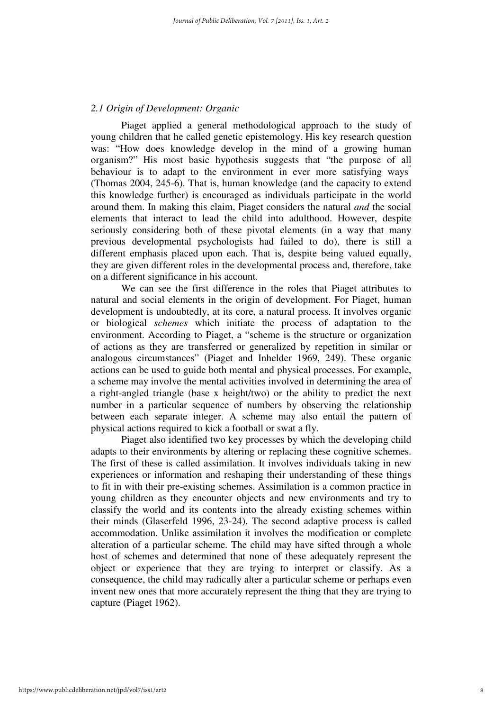#### *2.1 Origin of Development: Organic*

Piaget applied a general methodological approach to the study of young children that he called genetic epistemology. His key research question was: "How does knowledge develop in the mind of a growing human organism?" His most basic hypothesis suggests that "the purpose of all behaviour is to adapt to the environment in ever more satisfying ways" (Thomas 2004, 245-6). That is, human knowledge (and the capacity to extend this knowledge further) is encouraged as individuals participate in the world around them. In making this claim, Piaget considers the natural *and* the social elements that interact to lead the child into adulthood. However, despite seriously considering both of these pivotal elements (in a way that many previous developmental psychologists had failed to do), there is still a different emphasis placed upon each. That is, despite being valued equally, they are given different roles in the developmental process and, therefore, take on a different significance in his account.

We can see the first difference in the roles that Piaget attributes to natural and social elements in the origin of development. For Piaget, human development is undoubtedly, at its core, a natural process. It involves organic or biological *schemes* which initiate the process of adaptation to the environment. According to Piaget, a "scheme is the structure or organization of actions as they are transferred or generalized by repetition in similar or analogous circumstances" (Piaget and Inhelder 1969, 249). These organic actions can be used to guide both mental and physical processes. For example, a scheme may involve the mental activities involved in determining the area of a right-angled triangle (base x height/two) or the ability to predict the next number in a particular sequence of numbers by observing the relationship between each separate integer. A scheme may also entail the pattern of physical actions required to kick a football or swat a fly.

Piaget also identified two key processes by which the developing child adapts to their environments by altering or replacing these cognitive schemes. The first of these is called assimilation. It involves individuals taking in new experiences or information and reshaping their understanding of these things to fit in with their pre-existing schemes. Assimilation is a common practice in young children as they encounter objects and new environments and try to classify the world and its contents into the already existing schemes within their minds (Glaserfeld 1996, 23-24). The second adaptive process is called accommodation. Unlike assimilation it involves the modification or complete alteration of a particular scheme. The child may have sifted through a whole host of schemes and determined that none of these adequately represent the object or experience that they are trying to interpret or classify. As a consequence, the child may radically alter a particular scheme or perhaps even invent new ones that more accurately represent the thing that they are trying to capture (Piaget 1962).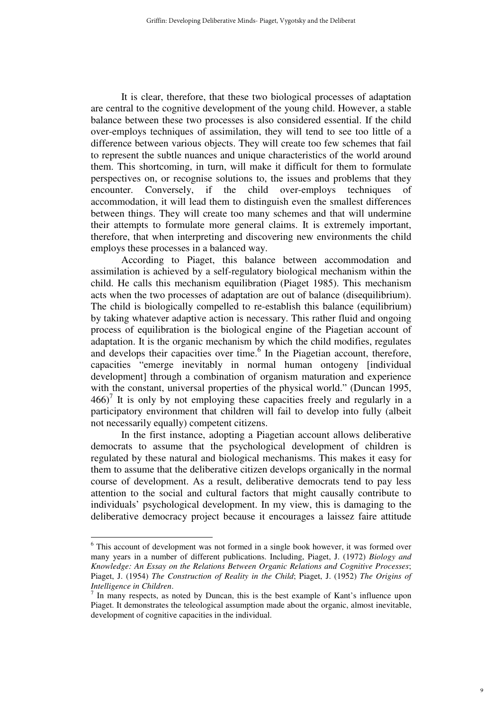It is clear, therefore, that these two biological processes of adaptation are central to the cognitive development of the young child. However, a stable balance between these two processes is also considered essential. If the child over-employs techniques of assimilation, they will tend to see too little of a difference between various objects. They will create too few schemes that fail to represent the subtle nuances and unique characteristics of the world around them. This shortcoming, in turn, will make it difficult for them to formulate perspectives on, or recognise solutions to, the issues and problems that they encounter. Conversely, if the child over-employs techniques of accommodation, it will lead them to distinguish even the smallest differences between things. They will create too many schemes and that will undermine their attempts to formulate more general claims. It is extremely important, therefore, that when interpreting and discovering new environments the child employs these processes in a balanced way.

According to Piaget, this balance between accommodation and assimilation is achieved by a self-regulatory biological mechanism within the child. He calls this mechanism equilibration (Piaget 1985). This mechanism acts when the two processes of adaptation are out of balance (disequilibrium). The child is biologically compelled to re-establish this balance (equilibrium) by taking whatever adaptive action is necessary. This rather fluid and ongoing process of equilibration is the biological engine of the Piagetian account of adaptation. It is the organic mechanism by which the child modifies, regulates and develops their capacities over time.  $6$  In the Piagetian account, therefore, capacities "emerge inevitably in normal human ontogeny [individual development] through a combination of organism maturation and experience with the constant, universal properties of the physical world." (Duncan 1995,  $466$ <sup>7</sup> It is only by not employing these capacities freely and regularly in a participatory environment that children will fail to develop into fully (albeit not necessarily equally) competent citizens.

In the first instance, adopting a Piagetian account allows deliberative democrats to assume that the psychological development of children is regulated by these natural and biological mechanisms. This makes it easy for them to assume that the deliberative citizen develops organically in the normal course of development. As a result, deliberative democrats tend to pay less attention to the social and cultural factors that might causally contribute to individuals' psychological development. In my view, this is damaging to the deliberative democracy project because it encourages a laissez faire attitude

<sup>&</sup>lt;sup>6</sup> This account of development was not formed in a single book however, it was formed over many years in a number of different publications. Including, Piaget, J. (1972) *Biology and Knowledge: An Essay on the Relations Between Organic Relations and Cognitive Processes*; Piaget, J. (1954) *The Construction of Reality in the Child*; Piaget, J. (1952) *The Origins of Intelligence in Children*.

<sup>7</sup> In many respects, as noted by Duncan, this is the best example of Kant's influence upon Piaget. It demonstrates the teleological assumption made about the organic, almost inevitable, development of cognitive capacities in the individual.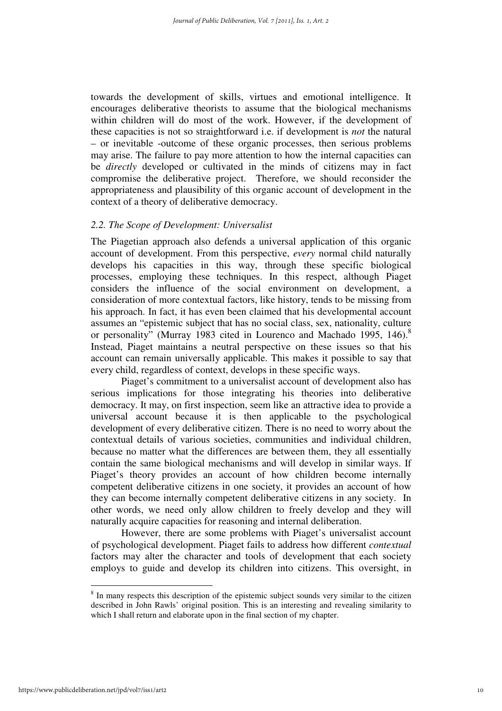towards the development of skills, virtues and emotional intelligence. It encourages deliberative theorists to assume that the biological mechanisms within children will do most of the work. However, if the development of these capacities is not so straightforward i.e. if development is *not* the natural – or inevitable -outcome of these organic processes, then serious problems may arise. The failure to pay more attention to how the internal capacities can be *directly* developed or cultivated in the minds of citizens may in fact compromise the deliberative project. Therefore, we should reconsider the appropriateness and plausibility of this organic account of development in the context of a theory of deliberative democracy.

#### *2.2. The Scope of Development: Universalist*

The Piagetian approach also defends a universal application of this organic account of development. From this perspective, *every* normal child naturally develops his capacities in this way, through these specific biological processes, employing these techniques. In this respect, although Piaget considers the influence of the social environment on development, a consideration of more contextual factors, like history, tends to be missing from his approach. In fact, it has even been claimed that his developmental account assumes an "epistemic subject that has no social class, sex, nationality, culture or personality" (Murray 1983 cited in Lourenco and Machado 1995, 146).<sup>8</sup> Instead, Piaget maintains a neutral perspective on these issues so that his account can remain universally applicable. This makes it possible to say that every child, regardless of context, develops in these specific ways.

Piaget's commitment to a universalist account of development also has serious implications for those integrating his theories into deliberative democracy. It may, on first inspection, seem like an attractive idea to provide a universal account because it is then applicable to the psychological development of every deliberative citizen. There is no need to worry about the contextual details of various societies, communities and individual children, because no matter what the differences are between them, they all essentially contain the same biological mechanisms and will develop in similar ways. If Piaget's theory provides an account of how children become internally competent deliberative citizens in one society, it provides an account of how they can become internally competent deliberative citizens in any society. In other words, we need only allow children to freely develop and they will naturally acquire capacities for reasoning and internal deliberation.

However, there are some problems with Piaget's universalist account of psychological development. Piaget fails to address how different *contextual* factors may alter the character and tools of development that each society employs to guide and develop its children into citizens. This oversight, in

<sup>&</sup>lt;sup>8</sup> In many respects this description of the epistemic subject sounds very similar to the citizen described in John Rawls' original position. This is an interesting and revealing similarity to which I shall return and elaborate upon in the final section of my chapter.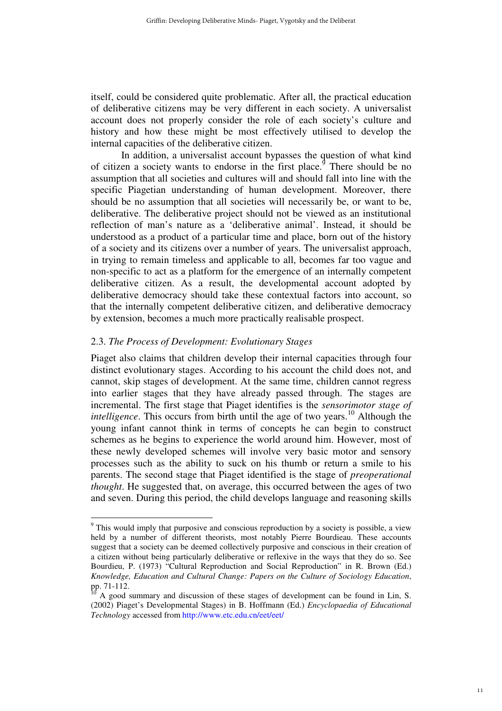itself, could be considered quite problematic. After all, the practical education of deliberative citizens may be very different in each society. A universalist account does not properly consider the role of each society's culture and history and how these might be most effectively utilised to develop the internal capacities of the deliberative citizen.

In addition, a universalist account bypasses the question of what kind of citizen a society wants to endorse in the first place.<sup>9</sup> There should be no assumption that all societies and cultures will and should fall into line with the specific Piagetian understanding of human development. Moreover, there should be no assumption that all societies will necessarily be, or want to be, deliberative. The deliberative project should not be viewed as an institutional reflection of man's nature as a 'deliberative animal'. Instead, it should be understood as a product of a particular time and place, born out of the history of a society and its citizens over a number of years. The universalist approach, in trying to remain timeless and applicable to all, becomes far too vague and non-specific to act as a platform for the emergence of an internally competent deliberative citizen. As a result, the developmental account adopted by deliberative democracy should take these contextual factors into account, so that the internally competent deliberative citizen, and deliberative democracy by extension, becomes a much more practically realisable prospect.

#### 2.3. *The Process of Development: Evolutionary Stages*

 $\overline{a}$ 

Piaget also claims that children develop their internal capacities through four distinct evolutionary stages. According to his account the child does not, and cannot, skip stages of development. At the same time, children cannot regress into earlier stages that they have already passed through. The stages are incremental. The first stage that Piaget identifies is the *sensorimotor stage of intelligence*. This occurs from birth until the age of two years.<sup>10</sup> Although the young infant cannot think in terms of concepts he can begin to construct schemes as he begins to experience the world around him. However, most of these newly developed schemes will involve very basic motor and sensory processes such as the ability to suck on his thumb or return a smile to his parents. The second stage that Piaget identified is the stage of *preoperational thought*. He suggested that, on average, this occurred between the ages of two and seven. During this period, the child develops language and reasoning skills

<sup>&</sup>lt;sup>9</sup> This would imply that purposive and conscious reproduction by a society is possible, a view held by a number of different theorists, most notably Pierre Bourdieau. These accounts suggest that a society can be deemed collectively purposive and conscious in their creation of a citizen without being particularly deliberative or reflexive in the ways that they do so. See Bourdieu, P. (1973) "Cultural Reproduction and Social Reproduction" in R. Brown (Ed.) *Knowledge, Education and Cultural Change: Papers on the Culture of Sociology Education*, pp. 71-112.

A good summary and discussion of these stages of development can be found in Lin, S. (2002) Piaget's Developmental Stages) in B. Hoffmann (Ed.) *Encyclopaedia of Educational Technology* accessed from http://www.etc.edu.cn/eet/eet/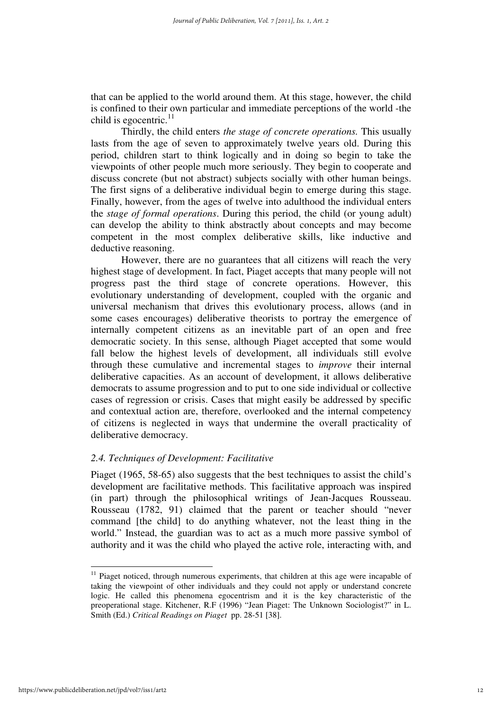that can be applied to the world around them. At this stage, however, the child is confined to their own particular and immediate perceptions of the world -the child is egocentric. $11$ 

Thirdly, the child enters *the stage of concrete operations.* This usually lasts from the age of seven to approximately twelve years old. During this period, children start to think logically and in doing so begin to take the viewpoints of other people much more seriously. They begin to cooperate and discuss concrete (but not abstract) subjects socially with other human beings. The first signs of a deliberative individual begin to emerge during this stage. Finally, however, from the ages of twelve into adulthood the individual enters the *stage of formal operations*. During this period, the child (or young adult) can develop the ability to think abstractly about concepts and may become competent in the most complex deliberative skills, like inductive and deductive reasoning.

However, there are no guarantees that all citizens will reach the very highest stage of development. In fact, Piaget accepts that many people will not progress past the third stage of concrete operations. However, this evolutionary understanding of development, coupled with the organic and universal mechanism that drives this evolutionary process, allows (and in some cases encourages) deliberative theorists to portray the emergence of internally competent citizens as an inevitable part of an open and free democratic society. In this sense, although Piaget accepted that some would fall below the highest levels of development, all individuals still evolve through these cumulative and incremental stages to *improve* their internal deliberative capacities. As an account of development, it allows deliberative democrats to assume progression and to put to one side individual or collective cases of regression or crisis. Cases that might easily be addressed by specific and contextual action are, therefore, overlooked and the internal competency of citizens is neglected in ways that undermine the overall practicality of deliberative democracy.

#### *2.4. Techniques of Development: Facilitative*

Piaget (1965, 58-65) also suggests that the best techniques to assist the child's development are facilitative methods. This facilitative approach was inspired (in part) through the philosophical writings of Jean-Jacques Rousseau. Rousseau (1782, 91) claimed that the parent or teacher should "never command [the child] to do anything whatever, not the least thing in the world." Instead, the guardian was to act as a much more passive symbol of authority and it was the child who played the active role, interacting with, and

<sup>&</sup>lt;sup>11</sup> Piaget noticed, through numerous experiments, that children at this age were incapable of taking the viewpoint of other individuals and they could not apply or understand concrete logic. He called this phenomena egocentrism and it is the key characteristic of the preoperational stage. Kitchener, R.F (1996) "Jean Piaget: The Unknown Sociologist?" in L. Smith (Ed.) *Critical Readings on Piaget* pp. 28-51 [38].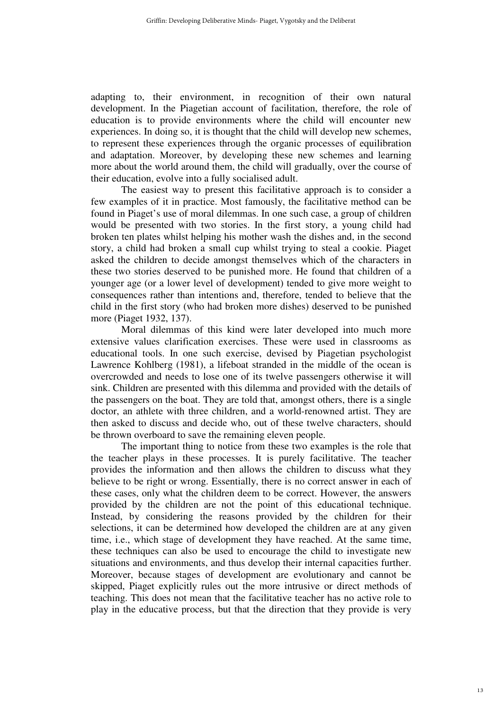adapting to, their environment, in recognition of their own natural development. In the Piagetian account of facilitation, therefore, the role of education is to provide environments where the child will encounter new experiences. In doing so, it is thought that the child will develop new schemes, to represent these experiences through the organic processes of equilibration and adaptation. Moreover, by developing these new schemes and learning more about the world around them, the child will gradually, over the course of their education, evolve into a fully socialised adult.

The easiest way to present this facilitative approach is to consider a few examples of it in practice. Most famously, the facilitative method can be found in Piaget's use of moral dilemmas. In one such case, a group of children would be presented with two stories. In the first story, a young child had broken ten plates whilst helping his mother wash the dishes and, in the second story, a child had broken a small cup whilst trying to steal a cookie. Piaget asked the children to decide amongst themselves which of the characters in these two stories deserved to be punished more. He found that children of a younger age (or a lower level of development) tended to give more weight to consequences rather than intentions and, therefore, tended to believe that the child in the first story (who had broken more dishes) deserved to be punished more (Piaget 1932, 137).

Moral dilemmas of this kind were later developed into much more extensive values clarification exercises. These were used in classrooms as educational tools. In one such exercise, devised by Piagetian psychologist Lawrence Kohlberg (1981), a lifeboat stranded in the middle of the ocean is overcrowded and needs to lose one of its twelve passengers otherwise it will sink. Children are presented with this dilemma and provided with the details of the passengers on the boat. They are told that, amongst others, there is a single doctor, an athlete with three children, and a world-renowned artist. They are then asked to discuss and decide who, out of these twelve characters, should be thrown overboard to save the remaining eleven people.

The important thing to notice from these two examples is the role that the teacher plays in these processes. It is purely facilitative. The teacher provides the information and then allows the children to discuss what they believe to be right or wrong. Essentially, there is no correct answer in each of these cases, only what the children deem to be correct. However, the answers provided by the children are not the point of this educational technique. Instead, by considering the reasons provided by the children for their selections, it can be determined how developed the children are at any given time, i.e., which stage of development they have reached. At the same time, these techniques can also be used to encourage the child to investigate new situations and environments, and thus develop their internal capacities further. Moreover, because stages of development are evolutionary and cannot be skipped, Piaget explicitly rules out the more intrusive or direct methods of teaching. This does not mean that the facilitative teacher has no active role to play in the educative process, but that the direction that they provide is very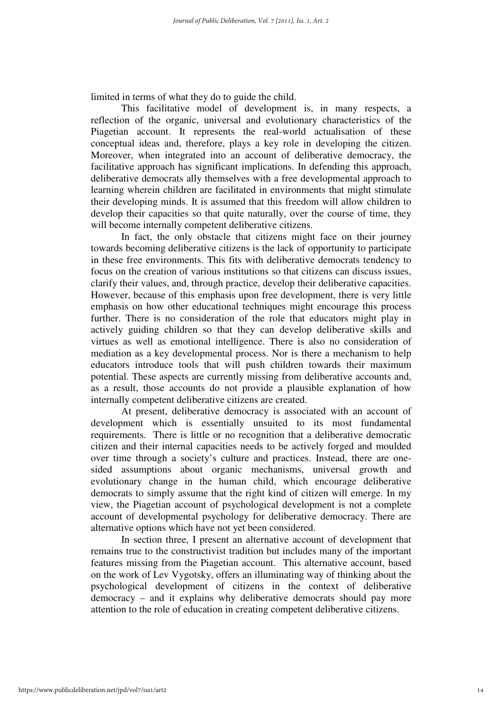limited in terms of what they do to guide the child.

This facilitative model of development is, in many respects, a reflection of the organic, universal and evolutionary characteristics of the Piagetian account. It represents the real-world actualisation of these conceptual ideas and, therefore, plays a key role in developing the citizen. Moreover, when integrated into an account of deliberative democracy, the facilitative approach has significant implications. In defending this approach, deliberative democrats ally themselves with a free developmental approach to learning wherein children are facilitated in environments that might stimulate their developing minds. It is assumed that this freedom will allow children to develop their capacities so that quite naturally, over the course of time, they will become internally competent deliberative citizens.

In fact, the only obstacle that citizens might face on their journey towards becoming deliberative citizens is the lack of opportunity to participate in these free environments. This fits with deliberative democrats tendency to focus on the creation of various institutions so that citizens can discuss issues, clarify their values, and, through practice, develop their deliberative capacities. However, because of this emphasis upon free development, there is very little emphasis on how other educational techniques might encourage this process further. There is no consideration of the role that educators might play in actively guiding children so that they can develop deliberative skills and virtues as well as emotional intelligence. There is also no consideration of mediation as a key developmental process. Nor is there a mechanism to help educators introduce tools that will push children towards their maximum potential. These aspects are currently missing from deliberative accounts and, as a result, those accounts do not provide a plausible explanation of how internally competent deliberative citizens are created.

At present, deliberative democracy is associated with an account of development which is essentially unsuited to its most fundamental requirements. There is little or no recognition that a deliberative democratic citizen and their internal capacities needs to be actively forged and moulded over time through a society's culture and practices. Instead, there are onesided assumptions about organic mechanisms, universal growth and evolutionary change in the human child, which encourage deliberative democrats to simply assume that the right kind of citizen will emerge. In my view, the Piagetian account of psychological development is not a complete account of developmental psychology for deliberative democracy. There are alternative options which have not yet been considered.

In section three, I present an alternative account of development that remains true to the constructivist tradition but includes many of the important features missing from the Piagetian account. This alternative account, based on the work of Lev Vygotsky, offers an illuminating way of thinking about the psychological development of citizens in the context of deliberative democracy – and it explains why deliberative democrats should pay more attention to the role of education in creating competent deliberative citizens.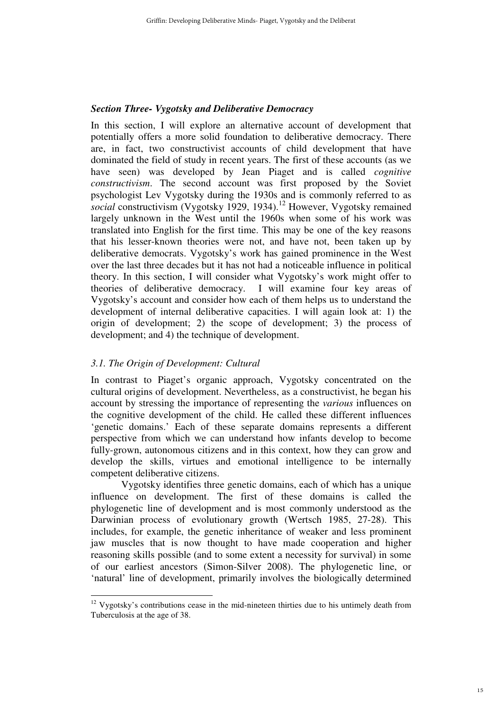#### *Section Three- Vygotsky and Deliberative Democracy*

In this section, I will explore an alternative account of development that potentially offers a more solid foundation to deliberative democracy. There are, in fact, two constructivist accounts of child development that have dominated the field of study in recent years. The first of these accounts (as we have seen) was developed by Jean Piaget and is called *cognitive constructivism*. The second account was first proposed by the Soviet psychologist Lev Vygotsky during the 1930s and is commonly referred to as *social* constructivism (Vygotsky 1929, 1934).<sup>12</sup> However, Vygotsky remained largely unknown in the West until the 1960s when some of his work was translated into English for the first time. This may be one of the key reasons that his lesser-known theories were not, and have not, been taken up by deliberative democrats. Vygotsky's work has gained prominence in the West over the last three decades but it has not had a noticeable influence in political theory. In this section, I will consider what Vygotsky's work might offer to theories of deliberative democracy. I will examine four key areas of Vygotsky's account and consider how each of them helps us to understand the development of internal deliberative capacities. I will again look at: 1) the origin of development; 2) the scope of development; 3) the process of development; and 4) the technique of development.

#### *3.1. The Origin of Development: Cultural*

In contrast to Piaget's organic approach, Vygotsky concentrated on the cultural origins of development. Nevertheless, as a constructivist, he began his account by stressing the importance of representing the *various* influences on the cognitive development of the child. He called these different influences 'genetic domains.' Each of these separate domains represents a different perspective from which we can understand how infants develop to become fully-grown, autonomous citizens and in this context, how they can grow and develop the skills, virtues and emotional intelligence to be internally competent deliberative citizens.

Vygotsky identifies three genetic domains, each of which has a unique influence on development. The first of these domains is called the phylogenetic line of development and is most commonly understood as the Darwinian process of evolutionary growth (Wertsch 1985, 27-28). This includes, for example, the genetic inheritance of weaker and less prominent jaw muscles that is now thought to have made cooperation and higher reasoning skills possible (and to some extent a necessity for survival) in some of our earliest ancestors (Simon-Silver 2008). The phylogenetic line, or 'natural' line of development, primarily involves the biologically determined

 $\overline{a}$  $12$  Vygotsky's contributions cease in the mid-nineteen thirties due to his untimely death from Tuberculosis at the age of 38.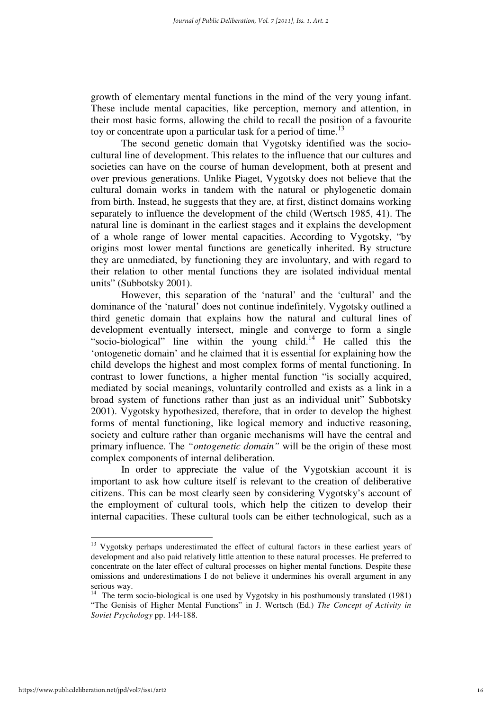growth of elementary mental functions in the mind of the very young infant. These include mental capacities, like perception, memory and attention, in their most basic forms, allowing the child to recall the position of a favourite toy or concentrate upon a particular task for a period of time.<sup>13</sup>

The second genetic domain that Vygotsky identified was the sociocultural line of development. This relates to the influence that our cultures and societies can have on the course of human development, both at present and over previous generations. Unlike Piaget, Vygotsky does not believe that the cultural domain works in tandem with the natural or phylogenetic domain from birth. Instead, he suggests that they are, at first, distinct domains working separately to influence the development of the child (Wertsch 1985, 41). The natural line is dominant in the earliest stages and it explains the development of a whole range of lower mental capacities. According to Vygotsky, "by origins most lower mental functions are genetically inherited. By structure they are unmediated, by functioning they are involuntary, and with regard to their relation to other mental functions they are isolated individual mental units" (Subbotsky 2001).

However, this separation of the 'natural' and the 'cultural' and the dominance of the 'natural' does not continue indefinitely. Vygotsky outlined a third genetic domain that explains how the natural and cultural lines of development eventually intersect, mingle and converge to form a single "socio-biological" line within the young child.<sup>14</sup> He called this the 'ontogenetic domain' and he claimed that it is essential for explaining how the child develops the highest and most complex forms of mental functioning. In contrast to lower functions, a higher mental function "is socially acquired, mediated by social meanings, voluntarily controlled and exists as a link in a broad system of functions rather than just as an individual unit" Subbotsky 2001). Vygotsky hypothesized, therefore, that in order to develop the highest forms of mental functioning, like logical memory and inductive reasoning, society and culture rather than organic mechanisms will have the central and primary influence. The *"ontogenetic domain"* will be the origin of these most complex components of internal deliberation.

In order to appreciate the value of the Vygotskian account it is important to ask how culture itself is relevant to the creation of deliberative citizens. This can be most clearly seen by considering Vygotsky's account of the employment of cultural tools, which help the citizen to develop their internal capacities. These cultural tools can be either technological, such as a

<sup>&</sup>lt;sup>13</sup> Vygotsky perhaps underestimated the effect of cultural factors in these earliest years of development and also paid relatively little attention to these natural processes. He preferred to concentrate on the later effect of cultural processes on higher mental functions. Despite these omissions and underestimations I do not believe it undermines his overall argument in any serious way.

<sup>&</sup>lt;sup>14</sup> The term socio-biological is one used by Vygotsky in his posthumously translated (1981) "The Genisis of Higher Mental Functions" in J. Wertsch (Ed.) *The Concept of Activity in Soviet Psychology* pp. 144-188.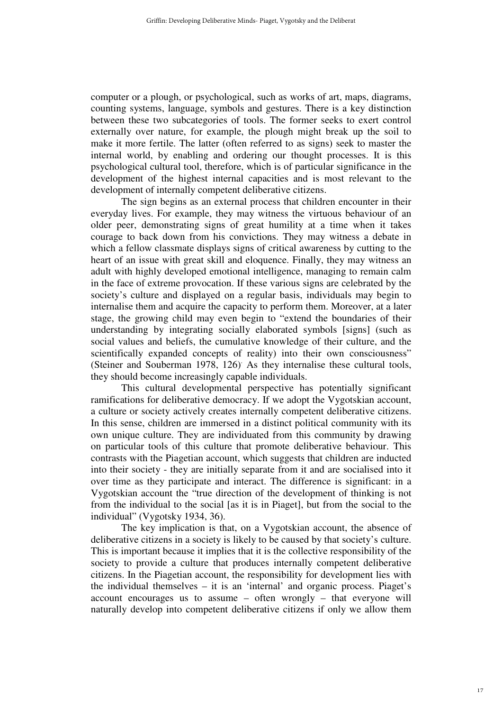computer or a plough, or psychological, such as works of art, maps, diagrams, counting systems, language, symbols and gestures. There is a key distinction between these two subcategories of tools. The former seeks to exert control externally over nature, for example, the plough might break up the soil to make it more fertile. The latter (often referred to as signs) seek to master the internal world, by enabling and ordering our thought processes. It is this psychological cultural tool, therefore, which is of particular significance in the development of the highest internal capacities and is most relevant to the development of internally competent deliberative citizens.

The sign begins as an external process that children encounter in their everyday lives. For example, they may witness the virtuous behaviour of an older peer, demonstrating signs of great humility at a time when it takes courage to back down from his convictions. They may witness a debate in which a fellow classmate displays signs of critical awareness by cutting to the heart of an issue with great skill and eloquence. Finally, they may witness an adult with highly developed emotional intelligence, managing to remain calm in the face of extreme provocation. If these various signs are celebrated by the society's culture and displayed on a regular basis, individuals may begin to internalise them and acquire the capacity to perform them. Moreover, at a later stage, the growing child may even begin to "extend the boundaries of their understanding by integrating socially elaborated symbols [signs] (such as social values and beliefs, the cumulative knowledge of their culture, and the scientifically expanded concepts of reality) into their own consciousness" (Steiner and Souberman 1978, 126) As they internalise these cultural tools, they should become increasingly capable individuals.

This cultural developmental perspective has potentially significant ramifications for deliberative democracy. If we adopt the Vygotskian account, a culture or society actively creates internally competent deliberative citizens. In this sense, children are immersed in a distinct political community with its own unique culture. They are individuated from this community by drawing on particular tools of this culture that promote deliberative behaviour. This contrasts with the Piagetian account, which suggests that children are inducted into their society - they are initially separate from it and are socialised into it over time as they participate and interact. The difference is significant: in a Vygotskian account the "true direction of the development of thinking is not from the individual to the social [as it is in Piaget], but from the social to the individual" (Vygotsky 1934, 36).

The key implication is that, on a Vygotskian account, the absence of deliberative citizens in a society is likely to be caused by that society's culture. This is important because it implies that it is the collective responsibility of the society to provide a culture that produces internally competent deliberative citizens. In the Piagetian account, the responsibility for development lies with the individual themselves – it is an 'internal' and organic process. Piaget's account encourages us to assume – often wrongly – that everyone will naturally develop into competent deliberative citizens if only we allow them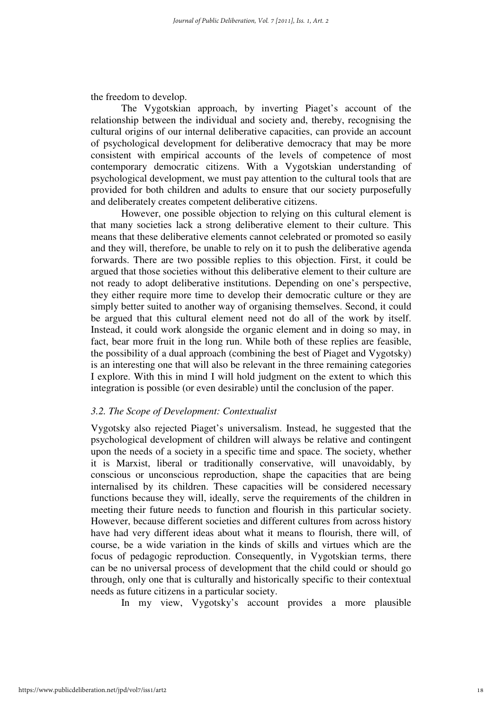the freedom to develop.

The Vygotskian approach, by inverting Piaget's account of the relationship between the individual and society and, thereby, recognising the cultural origins of our internal deliberative capacities, can provide an account of psychological development for deliberative democracy that may be more consistent with empirical accounts of the levels of competence of most contemporary democratic citizens. With a Vygotskian understanding of psychological development, we must pay attention to the cultural tools that are provided for both children and adults to ensure that our society purposefully and deliberately creates competent deliberative citizens.

However, one possible objection to relying on this cultural element is that many societies lack a strong deliberative element to their culture. This means that these deliberative elements cannot celebrated or promoted so easily and they will, therefore, be unable to rely on it to push the deliberative agenda forwards. There are two possible replies to this objection. First, it could be argued that those societies without this deliberative element to their culture are not ready to adopt deliberative institutions. Depending on one's perspective, they either require more time to develop their democratic culture or they are simply better suited to another way of organising themselves. Second, it could be argued that this cultural element need not do all of the work by itself. Instead, it could work alongside the organic element and in doing so may, in fact, bear more fruit in the long run. While both of these replies are feasible, the possibility of a dual approach (combining the best of Piaget and Vygotsky) is an interesting one that will also be relevant in the three remaining categories I explore. With this in mind I will hold judgment on the extent to which this integration is possible (or even desirable) until the conclusion of the paper.

#### *3.2. The Scope of Development: Contextualist*

Vygotsky also rejected Piaget's universalism. Instead, he suggested that the psychological development of children will always be relative and contingent upon the needs of a society in a specific time and space. The society, whether it is Marxist, liberal or traditionally conservative, will unavoidably, by conscious or unconscious reproduction, shape the capacities that are being internalised by its children. These capacities will be considered necessary functions because they will, ideally, serve the requirements of the children in meeting their future needs to function and flourish in this particular society. However, because different societies and different cultures from across history have had very different ideas about what it means to flourish, there will, of course, be a wide variation in the kinds of skills and virtues which are the focus of pedagogic reproduction. Consequently, in Vygotskian terms, there can be no universal process of development that the child could or should go through, only one that is culturally and historically specific to their contextual needs as future citizens in a particular society.

In my view, Vygotsky's account provides a more plausible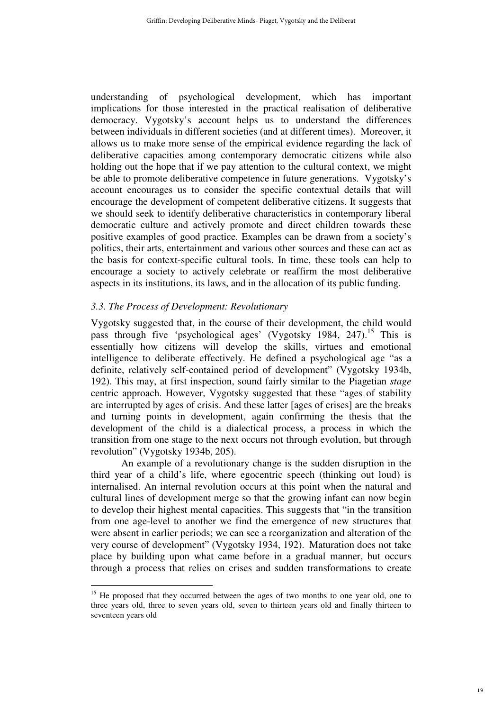understanding of psychological development, which has important implications for those interested in the practical realisation of deliberative democracy. Vygotsky's account helps us to understand the differences between individuals in different societies (and at different times). Moreover, it allows us to make more sense of the empirical evidence regarding the lack of deliberative capacities among contemporary democratic citizens while also holding out the hope that if we pay attention to the cultural context, we might be able to promote deliberative competence in future generations. Vygotsky's account encourages us to consider the specific contextual details that will encourage the development of competent deliberative citizens. It suggests that we should seek to identify deliberative characteristics in contemporary liberal democratic culture and actively promote and direct children towards these positive examples of good practice. Examples can be drawn from a society's politics, their arts, entertainment and various other sources and these can act as the basis for context-specific cultural tools. In time, these tools can help to encourage a society to actively celebrate or reaffirm the most deliberative aspects in its institutions, its laws, and in the allocation of its public funding.

#### *3.3. The Process of Development: Revolutionary*

Vygotsky suggested that, in the course of their development, the child would pass through five 'psychological ages' (Vygotsky 1984, 247).<sup>15</sup> This is essentially how citizens will develop the skills, virtues and emotional intelligence to deliberate effectively. He defined a psychological age "as a definite, relatively self-contained period of development" (Vygotsky 1934b, 192). This may, at first inspection, sound fairly similar to the Piagetian *stage* centric approach. However, Vygotsky suggested that these "ages of stability are interrupted by ages of crisis. And these latter [ages of crises] are the breaks and turning points in development, again confirming the thesis that the development of the child is a dialectical process, a process in which the transition from one stage to the next occurs not through evolution, but through revolution" (Vygotsky 1934b, 205).

An example of a revolutionary change is the sudden disruption in the third year of a child's life, where egocentric speech (thinking out loud) is internalised. An internal revolution occurs at this point when the natural and cultural lines of development merge so that the growing infant can now begin to develop their highest mental capacities. This suggests that "in the transition from one age-level to another we find the emergence of new structures that were absent in earlier periods; we can see a reorganization and alteration of the very course of development" (Vygotsky 1934, 192). Maturation does not take place by building upon what came before in a gradual manner, but occurs through a process that relies on crises and sudden transformations to create

 $\overline{a}$ <sup>15</sup> He proposed that they occurred between the ages of two months to one year old, one to three years old, three to seven years old, seven to thirteen years old and finally thirteen to seventeen years old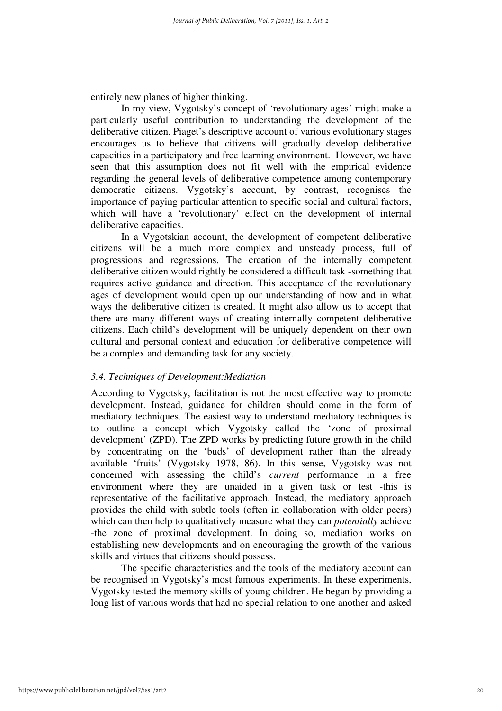entirely new planes of higher thinking.

In my view, Vygotsky's concept of 'revolutionary ages' might make a particularly useful contribution to understanding the development of the deliberative citizen. Piaget's descriptive account of various evolutionary stages encourages us to believe that citizens will gradually develop deliberative capacities in a participatory and free learning environment. However, we have seen that this assumption does not fit well with the empirical evidence regarding the general levels of deliberative competence among contemporary democratic citizens. Vygotsky's account, by contrast, recognises the importance of paying particular attention to specific social and cultural factors, which will have a 'revolutionary' effect on the development of internal deliberative capacities.

In a Vygotskian account, the development of competent deliberative citizens will be a much more complex and unsteady process, full of progressions and regressions. The creation of the internally competent deliberative citizen would rightly be considered a difficult task -something that requires active guidance and direction. This acceptance of the revolutionary ages of development would open up our understanding of how and in what ways the deliberative citizen is created. It might also allow us to accept that there are many different ways of creating internally competent deliberative citizens. Each child's development will be uniquely dependent on their own cultural and personal context and education for deliberative competence will be a complex and demanding task for any society.

#### *3.4. Techniques of Development:Mediation*

According to Vygotsky, facilitation is not the most effective way to promote development. Instead, guidance for children should come in the form of mediatory techniques. The easiest way to understand mediatory techniques is to outline a concept which Vygotsky called the 'zone of proximal development' (ZPD). The ZPD works by predicting future growth in the child by concentrating on the 'buds' of development rather than the already available 'fruits' (Vygotsky 1978, 86). In this sense, Vygotsky was not concerned with assessing the child's *current* performance in a free environment where they are unaided in a given task or test -this is representative of the facilitative approach. Instead, the mediatory approach provides the child with subtle tools (often in collaboration with older peers) which can then help to qualitatively measure what they can *potentially* achieve -the zone of proximal development. In doing so, mediation works on establishing new developments and on encouraging the growth of the various skills and virtues that citizens should possess.

The specific characteristics and the tools of the mediatory account can be recognised in Vygotsky's most famous experiments. In these experiments, Vygotsky tested the memory skills of young children. He began by providing a long list of various words that had no special relation to one another and asked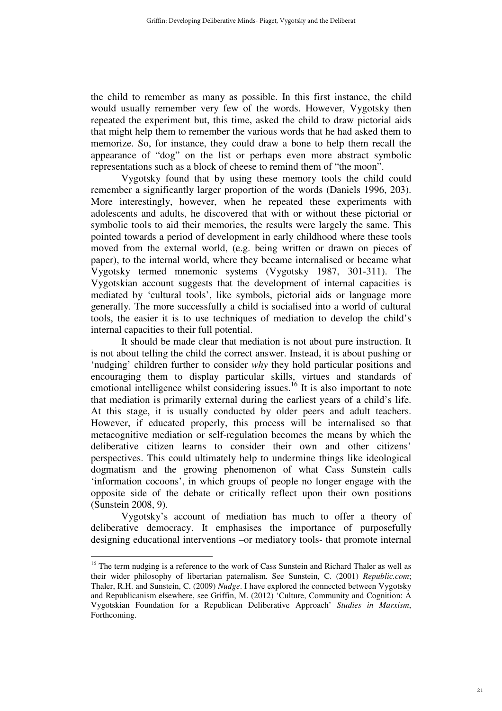the child to remember as many as possible. In this first instance, the child would usually remember very few of the words. However, Vygotsky then repeated the experiment but, this time, asked the child to draw pictorial aids that might help them to remember the various words that he had asked them to memorize. So, for instance, they could draw a bone to help them recall the appearance of "dog" on the list or perhaps even more abstract symbolic representations such as a block of cheese to remind them of "the moon".

Vygotsky found that by using these memory tools the child could remember a significantly larger proportion of the words (Daniels 1996, 203). More interestingly, however, when he repeated these experiments with adolescents and adults, he discovered that with or without these pictorial or symbolic tools to aid their memories, the results were largely the same. This pointed towards a period of development in early childhood where these tools moved from the external world, (e.g. being written or drawn on pieces of paper), to the internal world, where they became internalised or became what Vygotsky termed mnemonic systems (Vygotsky 1987, 301-311). The Vygotskian account suggests that the development of internal capacities is mediated by 'cultural tools', like symbols, pictorial aids or language more generally. The more successfully a child is socialised into a world of cultural tools, the easier it is to use techniques of mediation to develop the child's internal capacities to their full potential.

It should be made clear that mediation is not about pure instruction. It is not about telling the child the correct answer. Instead, it is about pushing or 'nudging' children further to consider *why* they hold particular positions and encouraging them to display particular skills, virtues and standards of emotional intelligence whilst considering issues.<sup>16</sup> It is also important to note that mediation is primarily external during the earliest years of a child's life. At this stage, it is usually conducted by older peers and adult teachers. However, if educated properly, this process will be internalised so that metacognitive mediation or self-regulation becomes the means by which the deliberative citizen learns to consider their own and other citizens' perspectives. This could ultimately help to undermine things like ideological dogmatism and the growing phenomenon of what Cass Sunstein calls 'information cocoons', in which groups of people no longer engage with the opposite side of the debate or critically reflect upon their own positions (Sunstein 2008, 9).

Vygotsky's account of mediation has much to offer a theory of deliberative democracy. It emphasises the importance of purposefully designing educational interventions –or mediatory tools- that promote internal

<sup>&</sup>lt;sup>16</sup> The term nudging is a reference to the work of Cass Sunstein and Richard Thaler as well as their wider philosophy of libertarian paternalism. See Sunstein, C. (2001) *Republic.com*; Thaler, R.H. and Sunstein, C. (2009) *Nudge*. I have explored the connected between Vygotsky and Republicanism elsewhere, see Griffin, M. (2012) 'Culture, Community and Cognition: A Vygotskian Foundation for a Republican Deliberative Approach' *Studies in Marxism*, Forthcoming.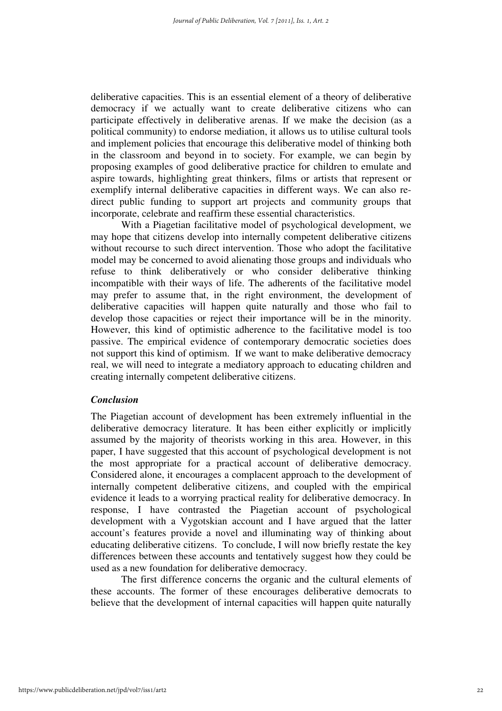deliberative capacities. This is an essential element of a theory of deliberative democracy if we actually want to create deliberative citizens who can participate effectively in deliberative arenas. If we make the decision (as a political community) to endorse mediation, it allows us to utilise cultural tools and implement policies that encourage this deliberative model of thinking both in the classroom and beyond in to society. For example, we can begin by proposing examples of good deliberative practice for children to emulate and aspire towards, highlighting great thinkers, films or artists that represent or exemplify internal deliberative capacities in different ways. We can also redirect public funding to support art projects and community groups that incorporate, celebrate and reaffirm these essential characteristics.

With a Piagetian facilitative model of psychological development, we may hope that citizens develop into internally competent deliberative citizens without recourse to such direct intervention. Those who adopt the facilitative model may be concerned to avoid alienating those groups and individuals who refuse to think deliberatively or who consider deliberative thinking incompatible with their ways of life. The adherents of the facilitative model may prefer to assume that, in the right environment, the development of deliberative capacities will happen quite naturally and those who fail to develop those capacities or reject their importance will be in the minority. However, this kind of optimistic adherence to the facilitative model is too passive. The empirical evidence of contemporary democratic societies does not support this kind of optimism. If we want to make deliberative democracy real, we will need to integrate a mediatory approach to educating children and creating internally competent deliberative citizens.

#### *Conclusion*

The Piagetian account of development has been extremely influential in the deliberative democracy literature. It has been either explicitly or implicitly assumed by the majority of theorists working in this area. However, in this paper, I have suggested that this account of psychological development is not the most appropriate for a practical account of deliberative democracy. Considered alone, it encourages a complacent approach to the development of internally competent deliberative citizens, and coupled with the empirical evidence it leads to a worrying practical reality for deliberative democracy. In response, I have contrasted the Piagetian account of psychological development with a Vygotskian account and I have argued that the latter account's features provide a novel and illuminating way of thinking about educating deliberative citizens. To conclude, I will now briefly restate the key differences between these accounts and tentatively suggest how they could be used as a new foundation for deliberative democracy.

The first difference concerns the organic and the cultural elements of these accounts. The former of these encourages deliberative democrats to believe that the development of internal capacities will happen quite naturally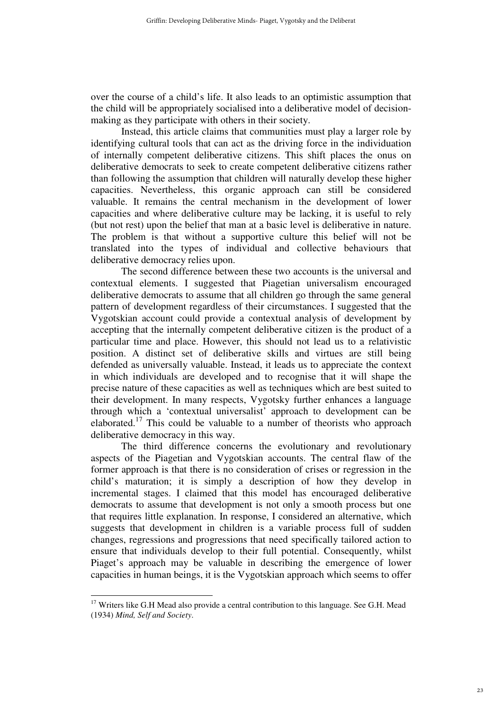over the course of a child's life. It also leads to an optimistic assumption that the child will be appropriately socialised into a deliberative model of decisionmaking as they participate with others in their society.

Instead, this article claims that communities must play a larger role by identifying cultural tools that can act as the driving force in the individuation of internally competent deliberative citizens. This shift places the onus on deliberative democrats to seek to create competent deliberative citizens rather than following the assumption that children will naturally develop these higher capacities. Nevertheless, this organic approach can still be considered valuable. It remains the central mechanism in the development of lower capacities and where deliberative culture may be lacking, it is useful to rely (but not rest) upon the belief that man at a basic level is deliberative in nature. The problem is that without a supportive culture this belief will not be translated into the types of individual and collective behaviours that deliberative democracy relies upon.

The second difference between these two accounts is the universal and contextual elements. I suggested that Piagetian universalism encouraged deliberative democrats to assume that all children go through the same general pattern of development regardless of their circumstances. I suggested that the Vygotskian account could provide a contextual analysis of development by accepting that the internally competent deliberative citizen is the product of a particular time and place. However, this should not lead us to a relativistic position. A distinct set of deliberative skills and virtues are still being defended as universally valuable. Instead, it leads us to appreciate the context in which individuals are developed and to recognise that it will shape the precise nature of these capacities as well as techniques which are best suited to their development. In many respects, Vygotsky further enhances a language through which a 'contextual universalist' approach to development can be elaborated.<sup>17</sup> This could be valuable to a number of theorists who approach deliberative democracy in this way.

The third difference concerns the evolutionary and revolutionary aspects of the Piagetian and Vygotskian accounts. The central flaw of the former approach is that there is no consideration of crises or regression in the child's maturation; it is simply a description of how they develop in incremental stages. I claimed that this model has encouraged deliberative democrats to assume that development is not only a smooth process but one that requires little explanation. In response, I considered an alternative, which suggests that development in children is a variable process full of sudden changes, regressions and progressions that need specifically tailored action to ensure that individuals develop to their full potential. Consequently, whilst Piaget's approach may be valuable in describing the emergence of lower capacities in human beings, it is the Vygotskian approach which seems to offer

 $\overline{a}$  $17$  Writers like G.H Mead also provide a central contribution to this language. See G.H. Mead (1934) *Mind, Self and Society*.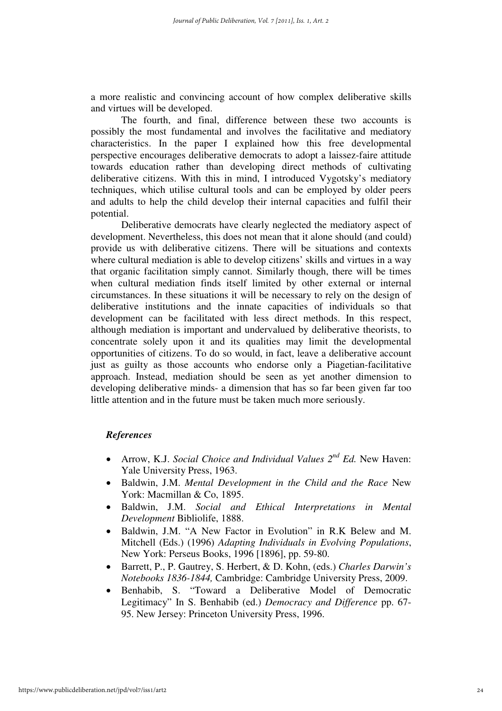a more realistic and convincing account of how complex deliberative skills and virtues will be developed.

The fourth, and final, difference between these two accounts is possibly the most fundamental and involves the facilitative and mediatory characteristics. In the paper I explained how this free developmental perspective encourages deliberative democrats to adopt a laissez-faire attitude towards education rather than developing direct methods of cultivating deliberative citizens. With this in mind, I introduced Vygotsky's mediatory techniques, which utilise cultural tools and can be employed by older peers and adults to help the child develop their internal capacities and fulfil their potential.

Deliberative democrats have clearly neglected the mediatory aspect of development. Nevertheless, this does not mean that it alone should (and could) provide us with deliberative citizens. There will be situations and contexts where cultural mediation is able to develop citizens' skills and virtues in a way that organic facilitation simply cannot. Similarly though, there will be times when cultural mediation finds itself limited by other external or internal circumstances. In these situations it will be necessary to rely on the design of deliberative institutions and the innate capacities of individuals so that development can be facilitated with less direct methods. In this respect, although mediation is important and undervalued by deliberative theorists, to concentrate solely upon it and its qualities may limit the developmental opportunities of citizens. To do so would, in fact, leave a deliberative account just as guilty as those accounts who endorse only a Piagetian-facilitative approach. Instead, mediation should be seen as yet another dimension to developing deliberative minds- a dimension that has so far been given far too little attention and in the future must be taken much more seriously.

#### *References*

- Arrow, K.J. *Social Choice and Individual Values*  $2^{nd} Ed$ . New Haven: Yale University Press, 1963.
- Baldwin, J.M. *Mental Development in the Child and the Race* New York: Macmillan & Co, 1895.
- Baldwin, J.M. *Social and Ethical Interpretations in Mental Development* Bibliolife, 1888.
- Baldwin, J.M. "A New Factor in Evolution" in R.K Belew and M. Mitchell (Eds.) (1996) *Adapting Individuals in Evolving Populations*, New York: Perseus Books, 1996 [1896], pp. 59-80.
- Barrett, P., P. Gautrey, S. Herbert, & D. Kohn, (eds.) *Charles Darwin's Notebooks 1836-1844,* Cambridge: Cambridge University Press, 2009.
- Benhabib, S. "Toward a Deliberative Model of Democratic Legitimacy" In S. Benhabib (ed.) *Democracy and Difference* pp. 67- 95. New Jersey: Princeton University Press, 1996.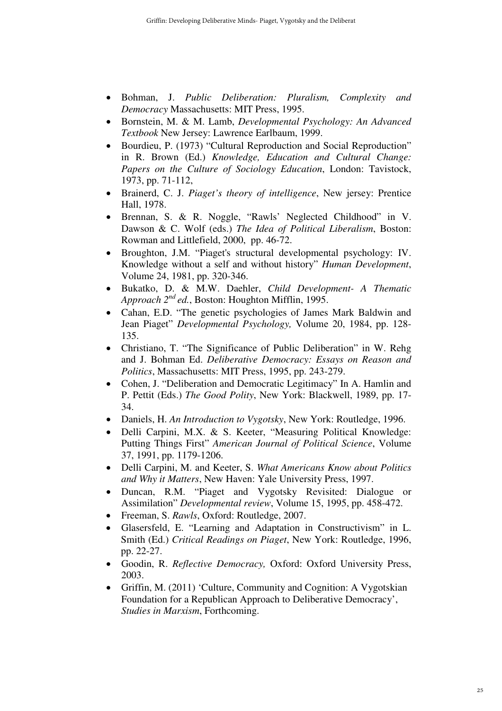- Bohman, J. *Public Deliberation: Pluralism, Complexity and Democracy* Massachusetts: MIT Press, 1995.
- Bornstein, M. & M. Lamb, *Developmental Psychology: An Advanced Textbook* New Jersey: Lawrence Earlbaum, 1999.
- Bourdieu, P. (1973) "Cultural Reproduction and Social Reproduction" in R. Brown (Ed.) *Knowledge, Education and Cultural Change: Papers on the Culture of Sociology Education*, London: Tavistock, 1973, pp. 71-112,
- Brainerd, C. J. *Piaget's theory of intelligence*, New jersey: Prentice Hall, 1978.
- Brennan, S. & R. Noggle, "Rawls' Neglected Childhood" in V. Dawson & C. Wolf (eds.) *The Idea of Political Liberalism*, Boston: Rowman and Littlefield, 2000, pp. 46-72.
- Broughton, J.M. "Piaget's structural developmental psychology: IV. Knowledge without a self and without history" *Human Development*, Volume 24, 1981, pp. 320-346.
- Bukatko, D. & M.W. Daehler, *Child Development- A Thematic Approach 2nd ed.*, Boston: Houghton Mifflin, 1995.
- Cahan, E.D. "The genetic psychologies of James Mark Baldwin and Jean Piaget" *Developmental Psychology,* Volume 20, 1984, pp. 128- 135.
- Christiano, T. "The Significance of Public Deliberation" in W. Rehg and J. Bohman Ed. *Deliberative Democracy: Essays on Reason and Politics*, Massachusetts: MIT Press, 1995, pp. 243-279.
- Cohen, J. "Deliberation and Democratic Legitimacy" In A. Hamlin and P. Pettit (Eds.) *The Good Polity*, New York: Blackwell, 1989, pp. 17- 34.
- Daniels, H. *An Introduction to Vygotsky*, New York: Routledge, 1996.
- Delli Carpini, M.X. & S. Keeter, "Measuring Political Knowledge: Putting Things First" *American Journal of Political Science*, Volume 37, 1991, pp. 1179-1206.
- Delli Carpini, M. and Keeter, S. *What Americans Know about Politics and Why it Matters*, New Haven: Yale University Press, 1997.
- Duncan, R.M. "Piaget and Vygotsky Revisited: Dialogue or Assimilation" *Developmental review*, Volume 15, 1995, pp. 458-472.
- Freeman, S. *Rawls*, Oxford: Routledge, 2007.
- Glasersfeld, E. "Learning and Adaptation in Constructivism" in L. Smith (Ed.) *Critical Readings on Piaget*, New York: Routledge, 1996, pp. 22-27.
- Goodin, R. *Reflective Democracy,* Oxford: Oxford University Press, 2003.
- Griffin, M. (2011) 'Culture, Community and Cognition: A Vygotskian Foundation for a Republican Approach to Deliberative Democracy', *Studies in Marxism*, Forthcoming.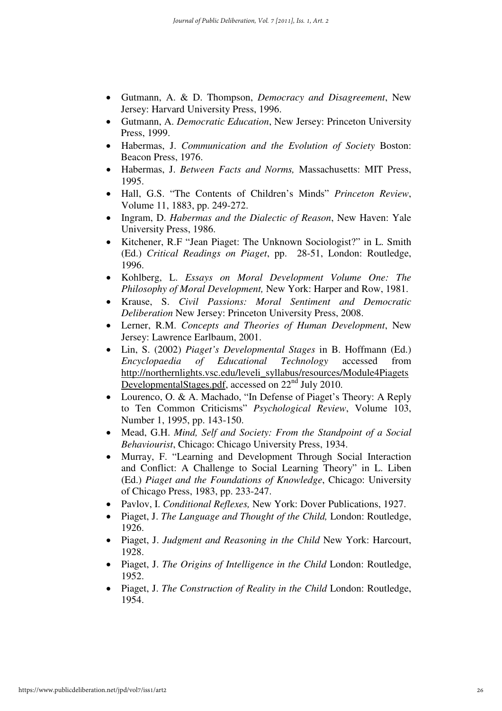- Gutmann, A. & D. Thompson, *Democracy and Disagreement*, New Jersey: Harvard University Press, 1996.
- Gutmann, A. *Democratic Education*, New Jersey: Princeton University Press, 1999.
- Habermas, J. *Communication and the Evolution of Society* Boston: Beacon Press, 1976.
- Habermas, J. *Between Facts and Norms,* Massachusetts: MIT Press, 1995.
- Hall, G.S. "The Contents of Children's Minds" *Princeton Review*, Volume 11, 1883, pp. 249-272.
- Ingram, D. *Habermas and the Dialectic of Reason*, New Haven: Yale University Press, 1986.
- Kitchener, R.F "Jean Piaget: The Unknown Sociologist?" in L. Smith (Ed.) *Critical Readings on Piaget*, pp. 28-51, London: Routledge, 1996.
- Kohlberg, L. *Essays on Moral Development Volume One: The Philosophy of Moral Development,* New York: Harper and Row, 1981.
- Krause, S. *Civil Passions: Moral Sentiment and Democratic Deliberation* New Jersey: Princeton University Press, 2008.
- Lerner, R.M. *Concepts and Theories of Human Development*, New Jersey: Lawrence Earlbaum, 2001.
- Lin, S. (2002) *Piaget's Developmental Stages* in B. Hoffmann (Ed.) *Encyclopaedia of Educational Technology* accessed from http://northernlights.vsc.edu/leveli\_syllabus/resources/Module4Piagets DevelopmentalStages.pdf, accessed on 22<sup>nd</sup> July 2010.
- Lourenco, O. & A. Machado, "In Defense of Piaget's Theory: A Reply to Ten Common Criticisms" *Psychological Review*, Volume 103, Number 1, 1995, pp. 143-150.
- Mead, G.H. *Mind, Self and Society: From the Standpoint of a Social Behaviourist*, Chicago: Chicago University Press, 1934.
- Murray, F. "Learning and Development Through Social Interaction and Conflict: A Challenge to Social Learning Theory" in L. Liben (Ed.) *Piaget and the Foundations of Knowledge*, Chicago: University of Chicago Press, 1983, pp. 233-247.
- Pavlov, I. *Conditional Reflexes,* New York: Dover Publications, 1927.
- Piaget, J. *The Language and Thought of the Child,* London: Routledge, 1926.
- Piaget, J. *Judgment and Reasoning in the Child* New York: Harcourt, 1928.
- Piaget, J. *The Origins of Intelligence in the Child* London: Routledge, 1952.
- Piaget, J. *The Construction of Reality in the Child* London: Routledge, 1954.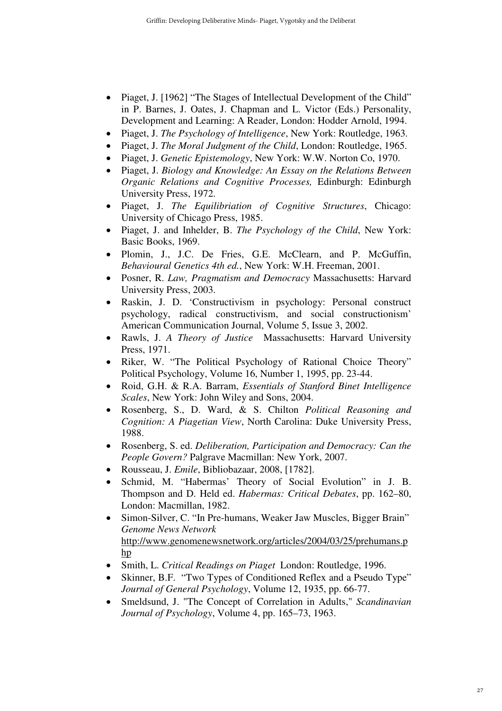- Piaget, J. [1962] "The Stages of Intellectual Development of the Child" in P. Barnes, J. Oates, J. Chapman and L. Victor (Eds.) Personality, Development and Learning: A Reader, London: Hodder Arnold, 1994.
- Piaget, J. *The Psychology of Intelligence*, New York: Routledge, 1963.
- Piaget, J. *The Moral Judgment of the Child*, London: Routledge, 1965.
- Piaget, J. *Genetic Epistemology*, New York: W.W. Norton Co, 1970.
- Piaget, J. *Biology and Knowledge: An Essay on the Relations Between Organic Relations and Cognitive Processes,* Edinburgh: Edinburgh University Press, 1972.
- Piaget, J. *The Equilibriation of Cognitive Structures*, Chicago: University of Chicago Press, 1985.
- Piaget, J. and Inhelder, B. *The Psychology of the Child*, New York: Basic Books, 1969.
- Plomin, J., J.C. De Fries, G.E. McClearn, and P. McGuffin, *Behavioural Genetics 4th ed.*, New York: W.H. Freeman, 2001.
- Posner, R. *Law, Pragmatism and Democracy* Massachusetts: Harvard University Press, 2003.
- Raskin, J. D. 'Constructivism in psychology: Personal construct psychology, radical constructivism, and social constructionism' American Communication Journal, Volume 5, Issue 3, 2002.
- Rawls, J. *A Theory of Justice* Massachusetts: Harvard University Press, 1971.
- Riker, W. "The Political Psychology of Rational Choice Theory" Political Psychology, Volume 16, Number 1, 1995, pp. 23-44.
- Roid, G.H. & R.A. Barram, *Essentials of Stanford Binet Intelligence Scales*, New York: John Wiley and Sons, 2004.
- Rosenberg, S., D. Ward, & S. Chilton *Political Reasoning and Cognition: A Piagetian View*, North Carolina: Duke University Press, 1988.
- Rosenberg, S. ed. *Deliberation, Participation and Democracy: Can the People Govern?* Palgrave Macmillan: New York, 2007.
- Rousseau, J. *Emile*, Bibliobazaar, 2008, [1782].
- Schmid, M. "Habermas' Theory of Social Evolution" in J. B. Thompson and D. Held ed. *Habermas: Critical Debates*, pp. 162–80, London: Macmillan, 1982.
- Simon-Silver, C. "In Pre-humans, Weaker Jaw Muscles, Bigger Brain" *Genome News Network* http://www.genomenewsnetwork.org/articles/2004/03/25/prehumans.p hp
- Smith, L. *Critical Readings on Piaget* London: Routledge, 1996.
- Skinner, B.F. "Two Types of Conditioned Reflex and a Pseudo Type" *Journal of General Psychology*, Volume 12, 1935, pp. 66-77.
- Smeldsund, J. "The Concept of Correlation in Adults," *Scandinavian Journal of Psychology*, Volume 4, pp. 165–73, 1963.